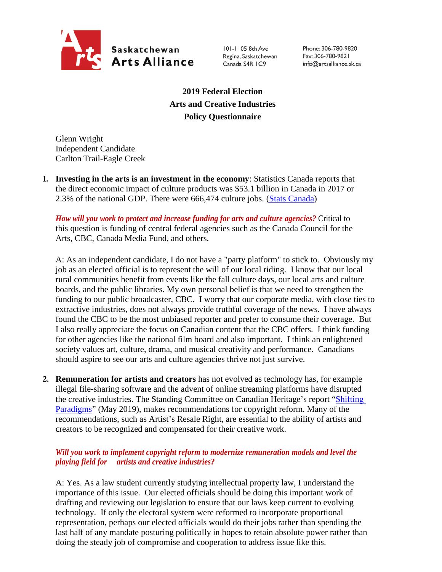

101-1105 8th Ave Regina, Saskatchewan Canada S4R IC9

Phone: 306-780-9820 Fax: 306-780-9821 info@artsalliance.sk.ca

**2019 Federal Election Arts and Creative Industries Policy Questionnaire**

Glenn Wright Independent Candidate Carlton Trail-Eagle Creek

**1. Investing in the arts is an investment in the economy**: Statistics Canada reports that the direct economic impact of culture products was \$53.1 billion in Canada in 2017 or 2.3% of the national GDP. There were 666,474 culture jobs. [\(Stats Canada\)](https://www.canada.ca/en/canadian-heritage/corporate/publications/general-publications/culture-satellite-account.html#a4-3)

*How will you work to protect and increase funding for arts and culture agencies?* Critical to this question is funding of central federal agencies such as the Canada Council for the Arts, CBC, Canada Media Fund, and others.

A: As an independent candidate, I do not have a "party platform" to stick to. Obviously my job as an elected official is to represent the will of our local riding. I know that our local rural communities benefit from events like the fall culture days, our local arts and culture boards, and the public libraries. My own personal belief is that we need to strengthen the funding to our public broadcaster, CBC. I worry that our corporate media, with close ties to extractive industries, does not always provide truthful coverage of the news. I have always found the CBC to be the most unbiased reporter and prefer to consume their coverage. But I also really appreciate the focus on Canadian content that the CBC offers. I think funding for other agencies like the national film board and also important. I think an enlightened society values art, culture, drama, and musical creativity and performance. Canadians should aspire to see our arts and culture agencies thrive not just survive.

**2. Remuneration for artists and creators** has not evolved as technology has, for example illegal file-sharing software and the advent of online streaming platforms have disrupted the creative industries. The Standing Committee on Canadian Heritage's report ["Shifting](https://www.ourcommons.ca/Content/Committee/421/CHPC/Reports/RP10481650/chpcrp19/chpcrp19-e.pdf)  [Paradigms"](https://www.ourcommons.ca/Content/Committee/421/CHPC/Reports/RP10481650/chpcrp19/chpcrp19-e.pdf) (May 2019), makes recommendations for copyright reform. Many of the recommendations, such as Artist's Resale Right, are essential to the ability of artists and creators to be recognized and compensated for their creative work.

## *Will you work to implement copyright reform to modernize remuneration models and level the playing field for artists and creative industries?*

A: Yes. As a law student currently studying intellectual property law, I understand the importance of this issue. Our elected officials should be doing this important work of drafting and reviewing our legislation to ensure that our laws keep current to evolving technology. If only the electoral system were reformed to incorporate proportional representation, perhaps our elected officials would do their jobs rather than spending the last half of any mandate posturing politically in hopes to retain absolute power rather than doing the steady job of compromise and cooperation to address issue like this.